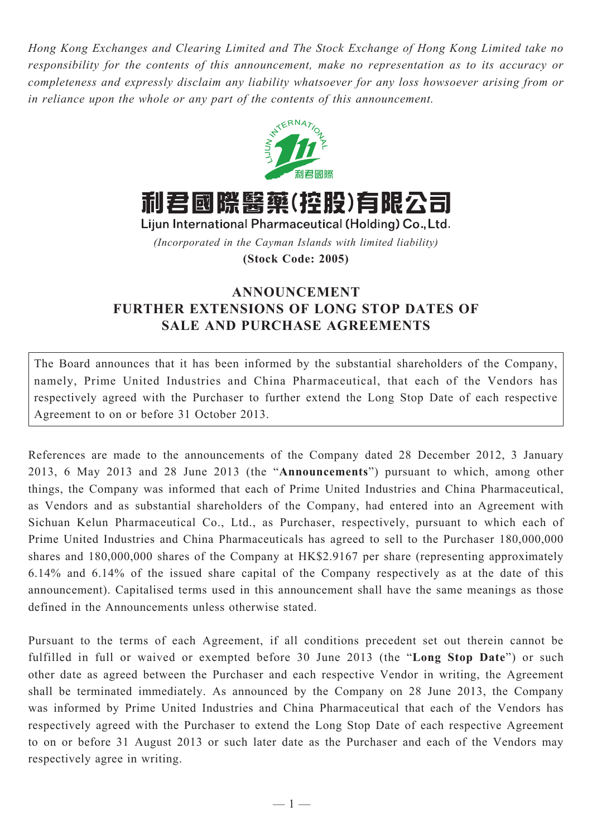*Hong Kong Exchanges and Clearing Limited and The Stock Exchange of Hong Kong Limited take no responsibility for the contents of this announcement, make no representation as to its accuracy or completeness and expressly disclaim any liability whatsoever for any loss howsoever arising from or in reliance upon the whole or any part of the contents of this announcement.*



利君國際醫藥(控股)有限公司

Lijun International Pharmaceutical (Holding) Co., Ltd. *(Incorporated in the Cayman Islands with limited liability)*

**(Stock Code: 2005)**

## **ANNOUNCEMENT FURTHER EXTENSIONS OF LONG STOP DATES OF SALE AND PURCHASE AGREEMENTS**

The Board announces that it has been informed by the substantial shareholders of the Company, namely, Prime United Industries and China Pharmaceutical, that each of the Vendors has respectively agreed with the Purchaser to further extend the Long Stop Date of each respective Agreement to on or before 31 October 2013.

References are made to the announcements of the Company dated 28 December 2012, 3 January 2013, 6 May 2013 and 28 June 2013 (the "**Announcements**") pursuant to which, among other things, the Company was informed that each of Prime United Industries and China Pharmaceutical, as Vendors and as substantial shareholders of the Company, had entered into an Agreement with Sichuan Kelun Pharmaceutical Co., Ltd., as Purchaser, respectively, pursuant to which each of Prime United Industries and China Pharmaceuticals has agreed to sell to the Purchaser 180,000,000 shares and 180,000,000 shares of the Company at HK\$2.9167 per share (representing approximately 6.14% and 6.14% of the issued share capital of the Company respectively as at the date of this announcement). Capitalised terms used in this announcement shall have the same meanings as those defined in the Announcements unless otherwise stated.

Pursuant to the terms of each Agreement, if all conditions precedent set out therein cannot be fulfilled in full or waived or exempted before 30 June 2013 (the "**Long Stop Date**") or such other date as agreed between the Purchaser and each respective Vendor in writing, the Agreement shall be terminated immediately. As announced by the Company on 28 June 2013, the Company was informed by Prime United Industries and China Pharmaceutical that each of the Vendors has respectively agreed with the Purchaser to extend the Long Stop Date of each respective Agreement to on or before 31 August 2013 or such later date as the Purchaser and each of the Vendors may respectively agree in writing.